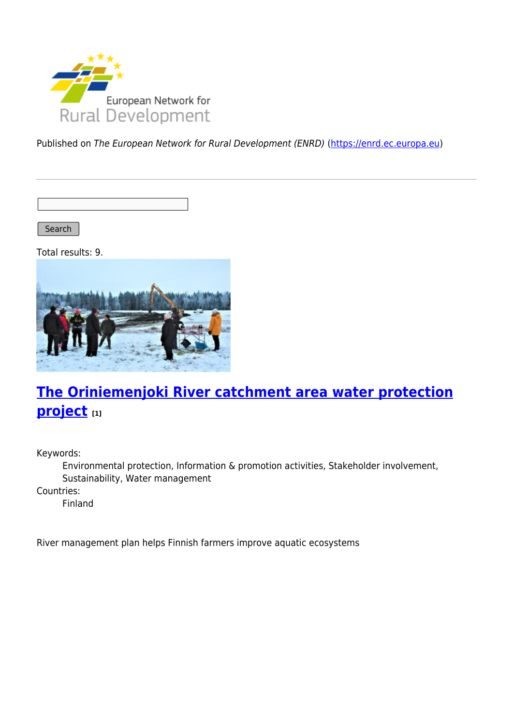

Published on The European Network for Rural Development (ENRD) [\(https://enrd.ec.europa.eu](https://enrd.ec.europa.eu))

Search

Total results: 9.



# **[The Oriniemenjoki River catchment area water protection](https://enrd.ec.europa.eu/projects-practice/oriniemenjoki-river-catchment-area-water-protection-project_en) [project](https://enrd.ec.europa.eu/projects-practice/oriniemenjoki-river-catchment-area-water-protection-project_en) [1]**

Keywords:

Environmental protection, Information & promotion activities, Stakeholder involvement, Sustainability, Water management

Countries:

Finland

River management plan helps Finnish farmers improve aquatic ecosystems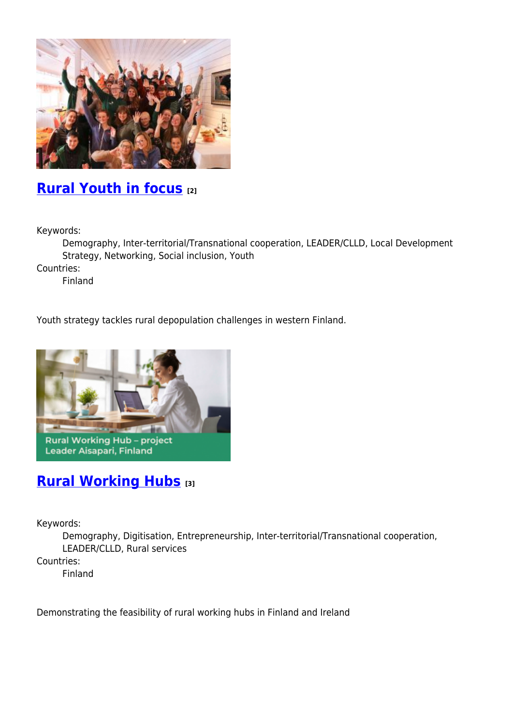

## **[Rural Youth in focus](https://enrd.ec.europa.eu/projects-practice/rural-youth-focus_en) [2]**

Keywords:

Demography, Inter-territorial/Transnational cooperation, LEADER/CLLD, Local Development Strategy, Networking, Social inclusion, Youth

Countries:

Finland

Youth strategy tackles rural depopulation challenges in western Finland.



#### **[Rural Working Hubs](https://enrd.ec.europa.eu/projects-practice/rural-working-hubs_en) [3]**

Keywords:

Demography, Digitisation, Entrepreneurship, Inter-territorial/Transnational cooperation, LEADER/CLLD, Rural services Countries:

Finland

Demonstrating the feasibility of rural working hubs in Finland and Ireland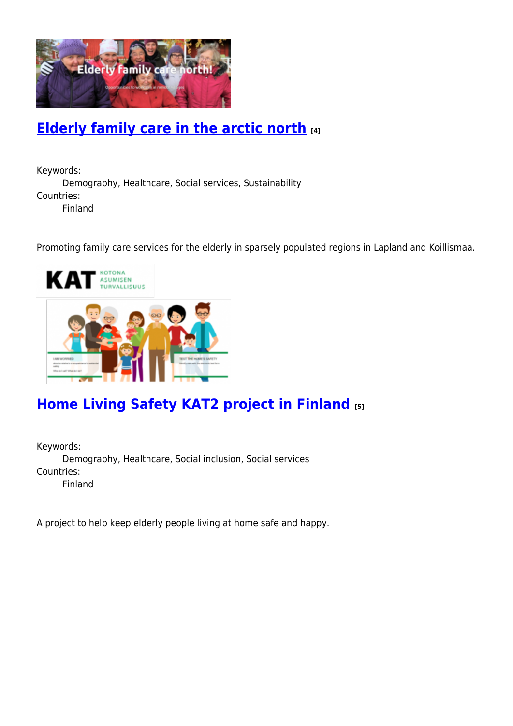

## **[Elderly family care in the arctic north](https://enrd.ec.europa.eu/projects-practice/elderly-family-care-arctic-north_en) [4]**

Keywords: Demography, Healthcare, Social services, Sustainability Countries: Finland

Promoting family care services for the elderly in sparsely populated regions in Lapland and Koillismaa.



# **[Home Living Safety KAT2 project in Finland](https://enrd.ec.europa.eu/projects-practice/home-living-safety-kat2-project-finland_en) [5]**

Keywords: Demography, Healthcare, Social inclusion, Social services Countries: Finland

A project to help keep elderly people living at home safe and happy.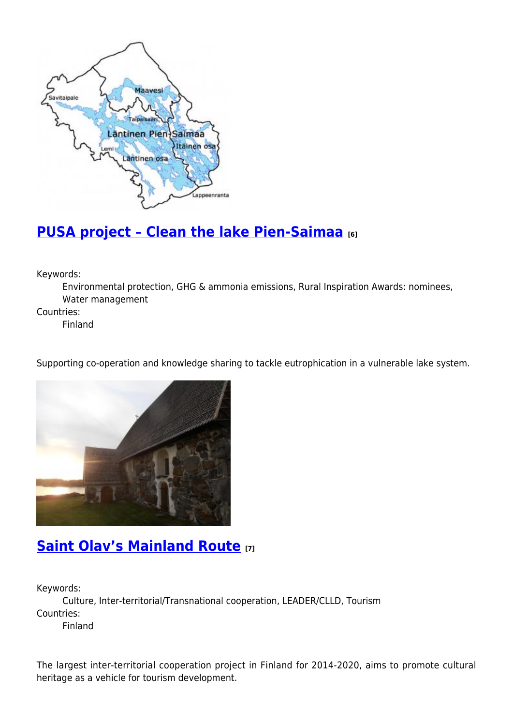

## **[PUSA project – Clean the lake Pien-Saimaa](https://enrd.ec.europa.eu/projects-practice/pusa-project-clean-lake-pien-saimaa_en) [6]**

Keywords:

Environmental protection, GHG & ammonia emissions, Rural Inspiration Awards: nominees, Water management

Countries:

Finland

Supporting co-operation and knowledge sharing to tackle eutrophication in a vulnerable lake system.



#### **[Saint Olav's Mainland Route](https://enrd.ec.europa.eu/projects-practice/saint-olavs-mainland-route_en) [7]**

Keywords:

Culture, Inter-territorial/Transnational cooperation, LEADER/CLLD, Tourism Countries:

Finland

The largest inter-territorial cooperation project in Finland for 2014-2020, aims to promote cultural heritage as a vehicle for tourism development.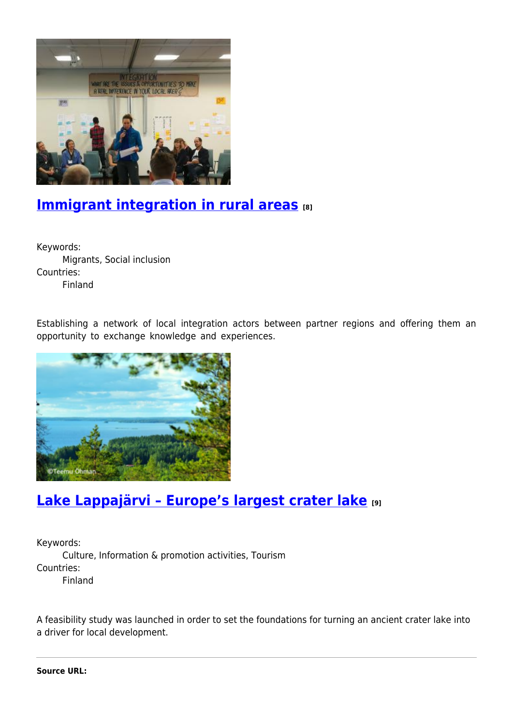

#### **[Immigrant integration in rural areas](https://enrd.ec.europa.eu/projects-practice/immigrant-integration-rural-areas_en)** [8]

Keywords: Migrants, Social inclusion Countries: Finland

Establishing a network of local integration actors between partner regions and offering them an opportunity to exchange knowledge and experiences.



# **[Lake Lappajärvi – Europe's largest crater lake](https://enrd.ec.europa.eu/projects-practice/lake-lappajarvi-europes-largest-crater-lake_en) [9]**

Keywords: Culture, Information & promotion activities, Tourism Countries: Finland

A feasibility study was launched in order to set the foundations for turning an ancient crater lake into a driver for local development.